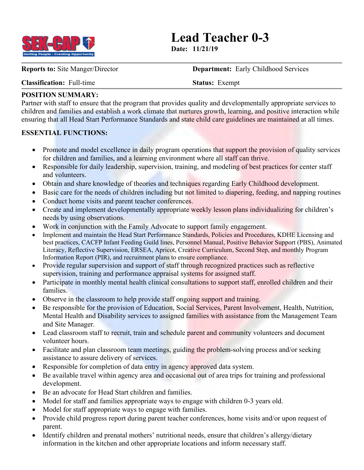

**Lead Teacher 0-3**

**Date: 11/21/19**

**Reports to:** Site Manger/Director **Department:** Early Childhood Services

**Classification:** Full-time **Status:** Exempt

## **POSITION SUMMARY:**

Partner with staff to ensure that the program that provides quality and developmentally appropriate services to children and families and establish a work climate that nurtures growth, learning, and positive interaction while ensuring that all Head Start Performance Standards and state child care guidelines are maintained at all times.

## **ESSENTIAL FUNCTIONS:**

- Promote and model excellence in daily program operations that support the provision of quality services for children and families, and a learning environment where all staff can thrive.
- Responsible for daily leadership, supervision, training, and modeling of best practices for center staff and volunteers.
- Obtain and share knowledge of theories and techniques regarding Early Childhood development.
- Basic care for the needs of children including but not limited to diapering, feeding, and napping routines
- Conduct home visits and parent teacher conferences.
- Create and implement developmentally appropriate weekly lesson plans individualizing for children's needs by using observations.
- Work in conjunction with the Family Advocate to support family engagement.
- Implement and maintain the Head Start Performance Standards, Policies and Procedures, KDHE Licensing and best practices, CACFP Infant Feeding Guild lines, Personnel Manual, Positive Behavior Support (PBS), Animated Literacy, Reflective Supervision, ERSEA, Apricot, Creative Curriculum, Second Step, and monthly Program Information Report (PIR), and recruitment plans to ensure compliance.
- Provide regular supervision and support of staff through recognized practices such as reflective supervision, training and performance appraisal systems for assigned staff.
- Participate in monthly mental health clinical consultations to support staff, enrolled children and their families.
- Observe in the classroom to help provide staff ongoing support and training.
- Be responsible for the provision of Education, Social Services, Parent Involvement, Health, Nutrition, Mental Health and Disability services to assigned families with assistance from the Management Team and Site Manager.
- Lead classroom staff to recruit, train and schedule parent and community volunteers and document volunteer hours.
- Facilitate and plan classroom team meetings, guiding the problem-solving process and/or seeking assistance to assure delivery of services.
- Responsible for completion of data entry in agency approved data system.
- Be available travel within agency area and occasional out of area trips for training and professional development.
- Be an advocate for Head Start children and families.
- Model for staff and families appropriate ways to engage with children 0-3 years old.
- Model for staff appropriate ways to engage with families.
- Provide child progress report during parent teacher conferences, home visits and/or upon request of parent.
- Identify children and prenatal mothers' nutritional needs, ensure that children's allergy/dietary information in the kitchen and other appropriate locations and inform necessary staff.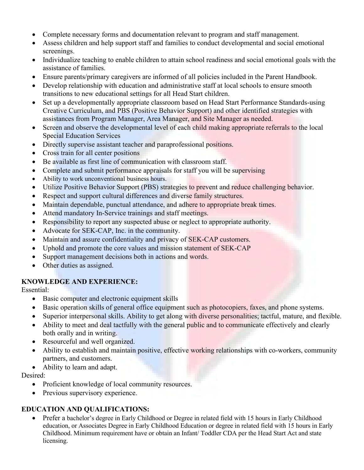- Complete necessary forms and documentation relevant to program and staff management.
- Assess children and help support staff and families to conduct developmental and social emotional screenings.
- Individualize teaching to enable children to attain school readiness and social emotional goals with the assistance of families.
- Ensure parents/primary caregivers are informed of all policies included in the Parent Handbook.
- Develop relationship with education and administrative staff at local schools to ensure smooth transitions to new educational settings for all Head Start children.
- Set up a developmentally appropriate classroom based on Head Start Performance Standards-using Creative Curriculum, and PBS (Positive Behavior Support) and other identified strategies with assistances from Program Manager, Area Manager, and Site Manager as needed.
- Screen and observe the developmental level of each child making appropriate referrals to the local Special Education Services
- Directly supervise assistant teacher and paraprofessional positions.
- Cross train for all center positions
- Be available as first line of communication with classroom staff.
- Complete and submit performance appraisals for staff you will be supervising
- Ability to work unconventional business hours.
- Utilize Positive Behavior Support (PBS) strategies to prevent and reduce challenging behavior.
- Respect and support cultural differences and diverse family structures.
- Maintain dependable, punctual attendance, and adhere to appropriate break times.
- Attend mandatory In-Service trainings and staff meetings.
- Responsibility to report any suspected abuse or neglect to appropriate authority.
- Advocate for SEK-CAP, Inc. in the community.
- Maintain and assure confidentiality and privacy of SEK-CAP customers.
- Uphold and promote the core values and mission statement of SEK-CAP
- Support management decisions both in actions and words.
- Other duties as assigned.

# **KNOWLEDGE AND EXPERIENCE:**

Essential:

- Basic computer and electronic equipment skills
- Basic operation skills of general office equipment such as photocopiers, faxes, and phone systems.
- Superior interpersonal skills. Ability to get along with diverse personalities; tactful, mature, and flexible.
- Ability to meet and deal tactfully with the general public and to communicate effectively and clearly both orally and in writing.
- Resourceful and well organized.
- Ability to establish and maintain positive, effective working relationships with co-workers, community partners, and customers.
- Ability to learn and adapt.

# Desired:

- Proficient knowledge of local community resources.
- Previous supervisory experience.

# **EDUCATION AND QUALIFICATIONS:**

• Prefer a bachelor's degree in Early Childhood or Degree in related field with 15 hours in Early Childhood education, or Associates Degree in Early Childhood Education or degree in related field with 15 hours in Early Childhood. Minimum requirement have or obtain an Infant/ Toddler CDA per the Head Start Act and state licensing.